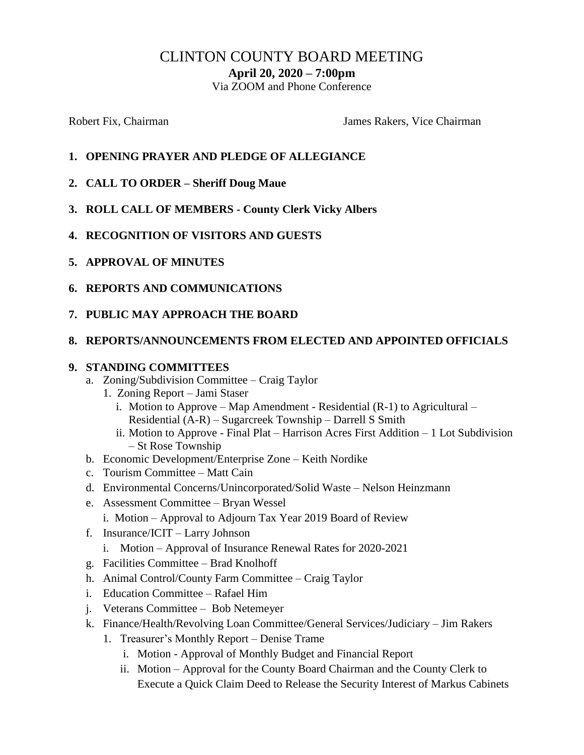# CLINTON COUNTY BOARD MEETING

**April 20, 2020 – 7:00pm**

Via ZOOM and Phone Conference

Robert Fix, Chairman The Chairman James Rakers, Vice Chairman

- **1. OPENING PRAYER AND PLEDGE OF ALLEGIANCE**
- **2. CALL TO ORDER – Sheriff Doug Maue**
- **3. ROLL CALL OF MEMBERS - County Clerk Vicky Albers**
- **4. RECOGNITION OF VISITORS AND GUESTS**
- **5. APPROVAL OF MINUTES**
- **6. REPORTS AND COMMUNICATIONS**
- **7. PUBLIC MAY APPROACH THE BOARD**

#### **8. REPORTS/ANNOUNCEMENTS FROM ELECTED AND APPOINTED OFFICIALS**

#### **9. STANDING COMMITTEES**

- a. Zoning/Subdivision Committee Craig Taylor
	- 1. Zoning Report Jami Staser
		- i. Motion to Approve Map Amendment Residential (R-1) to Agricultural Residential (A-R) – Sugarcreek Township – Darrell S Smith
		- ii. Motion to Approve Final Plat Harrison Acres First Addition 1 Lot Subdivision – St Rose Township
- b. Economic Development/Enterprise Zone Keith Nordike
- c. Tourism Committee Matt Cain
- d. Environmental Concerns/Unincorporated/Solid Waste Nelson Heinzmann
- e. Assessment Committee Bryan Wessel
	- i. Motion Approval to Adjourn Tax Year 2019 Board of Review
- f. Insurance/ICIT Larry Johnson
	- i. Motion Approval of Insurance Renewal Rates for 2020-2021
- g. Facilities Committee Brad Knolhoff
- h. Animal Control/County Farm Committee Craig Taylor
- i. Education Committee Rafael Him
- j. Veterans Committee Bob Netemeyer
- k. Finance/Health/Revolving Loan Committee/General Services/Judiciary Jim Rakers
	- 1. Treasurer's Monthly Report Denise Trame
		- i. Motion Approval of Monthly Budget and Financial Report
		- ii. Motion Approval for the County Board Chairman and the County Clerk to Execute a Quick Claim Deed to Release the Security Interest of Markus Cabinets